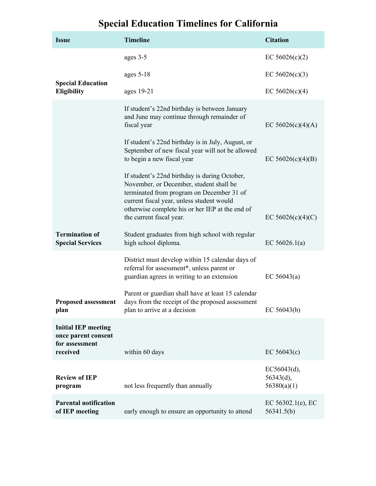## **Special Education Timelines for California**

| <b>Issue</b>                                                                    | <b>Timeline</b>                                                                                                                                                                                                                                                   | <b>Citation</b>                         |
|---------------------------------------------------------------------------------|-------------------------------------------------------------------------------------------------------------------------------------------------------------------------------------------------------------------------------------------------------------------|-----------------------------------------|
|                                                                                 | ages 3-5                                                                                                                                                                                                                                                          | EC $56026(c)(2)$                        |
|                                                                                 | ages $5-18$                                                                                                                                                                                                                                                       | EC $56026(c)(3)$                        |
| <b>Special Education</b><br>Eligibility                                         | ages 19-21                                                                                                                                                                                                                                                        | EC $56026(c)(4)$                        |
|                                                                                 | If student's 22nd birthday is between January<br>and June may continue through remainder of<br>fiscal year                                                                                                                                                        | EC $56026(c)(4)(A)$                     |
|                                                                                 | If student's 22nd birthday is in July, August, or<br>September of new fiscal year will not be allowed<br>to begin a new fiscal year                                                                                                                               | EC $56026(c)(4)(B)$                     |
|                                                                                 | If student's 22nd birthday is during October,<br>November, or December, student shall be<br>terminated from program on December 31 of<br>current fiscal year, unless student would<br>otherwise complete his or her IEP at the end of<br>the current fiscal year. | EC $56026(c)(4)(C)$                     |
| <b>Termination of</b><br><b>Special Services</b>                                | Student graduates from high school with regular<br>high school diploma.                                                                                                                                                                                           | EC $56026.1(a)$                         |
|                                                                                 | District must develop within 15 calendar days of<br>referral for assessment*, unless parent or<br>guardian agrees in writing to an extension                                                                                                                      | EC $56043(a)$                           |
| <b>Proposed assessment</b><br>plan                                              | Parent or guardian shall have at least 15 calendar<br>days from the receipt of the proposed assessment<br>plan to arrive at a decision                                                                                                                            | EC $56043(b)$                           |
| <b>Initial IEP meeting</b><br>once parent consent<br>for assessment<br>received | within 60 days                                                                                                                                                                                                                                                    | EC $56043(c)$                           |
| <b>Review of IEP</b><br>program                                                 | not less frequently than annually                                                                                                                                                                                                                                 | EC56043(d),<br>56343(d),<br>56380(a)(1) |
| <b>Parental notification</b><br>of IEP meeting                                  | early enough to ensure an opportunity to attend                                                                                                                                                                                                                   | EC $56302.1(e)$ , EC<br>56341.5(b)      |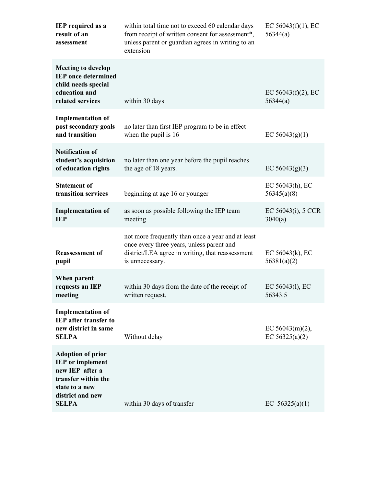| <b>IEP</b> required as a<br>result of an<br>assessment                                                                                              | within total time not to exceed 60 calendar days<br>from receipt of written consent for assessment*,<br>unless parent or guardian agrees in writing to an<br>extension | EC $56043(f)(1)$ , EC<br>56344(a)      |
|-----------------------------------------------------------------------------------------------------------------------------------------------------|------------------------------------------------------------------------------------------------------------------------------------------------------------------------|----------------------------------------|
| <b>Meeting to develop</b><br><b>IEP</b> once determined<br>child needs special<br>education and<br>related services                                 | within 30 days                                                                                                                                                         | EC $56043(f)(2)$ , EC<br>56344(a)      |
| <b>Implementation of</b><br>post secondary goals<br>and transition                                                                                  | no later than first IEP program to be in effect<br>when the pupil is 16                                                                                                | EC $56043(g)(1)$                       |
| <b>Notification of</b><br>student's acquisition<br>of education rights                                                                              | no later than one year before the pupil reaches<br>the age of 18 years.                                                                                                | EC $56043(g)(3)$                       |
| <b>Statement of</b><br>transition services                                                                                                          | beginning at age 16 or younger                                                                                                                                         | EC $56043(h)$ , EC<br>56345(a)(8)      |
| <b>Implementation of</b><br><b>IEP</b>                                                                                                              | as soon as possible following the IEP team<br>meeting                                                                                                                  | EC $56043(i)$ , $5$ CCR<br>3040(a)     |
| <b>Reassessment of</b><br>pupil                                                                                                                     | not more frequently than once a year and at least<br>once every three years, unless parent and<br>district/LEA agree in writing, that reassessment<br>is unnecessary.  | EC $56043(k)$ , EC<br>56381(a)(2)      |
| When parent<br>requests an IEP<br>meeting                                                                                                           | within 30 days from the date of the receipt of<br>written request.                                                                                                     | EC 56043(1), EC<br>56343.5             |
| <b>Implementation of</b><br><b>IEP</b> after transfer to<br>new district in same<br><b>SELPA</b>                                                    | Without delay                                                                                                                                                          | EC $56043(m)(2)$ ,<br>EC $56325(a)(2)$ |
| <b>Adoption of prior</b><br><b>IEP</b> or implement<br>new IEP after a<br>transfer within the<br>state to a new<br>district and new<br><b>SELPA</b> | within 30 days of transfer                                                                                                                                             | EC $56325(a)(1)$                       |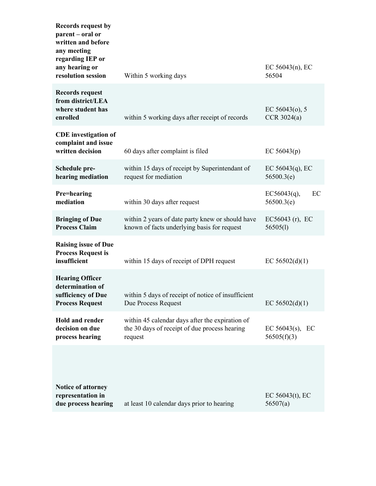| <b>Records request by</b><br>parent – oral or<br>written and before<br>any meeting<br>regarding IEP or |                                                                                                             |                                      |
|--------------------------------------------------------------------------------------------------------|-------------------------------------------------------------------------------------------------------------|--------------------------------------|
| any hearing or<br>resolution session                                                                   | Within 5 working days                                                                                       | EC $56043(n)$ , EC<br>56504          |
| <b>Records request</b><br>from district/LEA<br>where student has<br>enrolled                           | within 5 working days after receipt of records                                                              | EC $56043(o)$ , 5<br>CCR $3024(a)$   |
| <b>CDE</b> investigation of<br>complaint and issue<br>written decision                                 | 60 days after complaint is filed                                                                            | EC $56043(p)$                        |
| Schedule pre-<br>hearing mediation                                                                     | within 15 days of receipt by Superintendant of<br>request for mediation                                     | EC $56043(q)$ , EC<br>56500.3(e)     |
| Pre=hearing<br>mediation                                                                               | within 30 days after request                                                                                | EC<br>EC56043(q),<br>56500.3(e)      |
| <b>Bringing of Due</b><br><b>Process Claim</b>                                                         | within 2 years of date party knew or should have<br>known of facts underlying basis for request             | $EC56043$ (r), $EC$<br>56505(l)      |
| <b>Raising issue of Due</b><br><b>Process Request is</b><br>insufficient                               | within 15 days of receipt of DPH request                                                                    | EC $56502(d)(1)$                     |
| <b>Hearing Officer</b><br>determination of<br>sufficiency of Due<br><b>Process Request</b>             | within 5 days of receipt of notice of insufficient<br>Due Process Request                                   | EC $56502(d)(1)$                     |
| <b>Hold and render</b><br>decision on due<br>process hearing                                           | within 45 calendar days after the expiration of<br>the 30 days of receipt of due process hearing<br>request | EC $56043(s)$ ,<br>EC<br>56505(f)(3) |
|                                                                                                        |                                                                                                             |                                      |
| <b>Notice of attorney</b><br>representation in<br>due process hearing                                  | at least 10 calendar days prior to hearing                                                                  | EC $56043(t)$ , EC<br>56507(a)       |